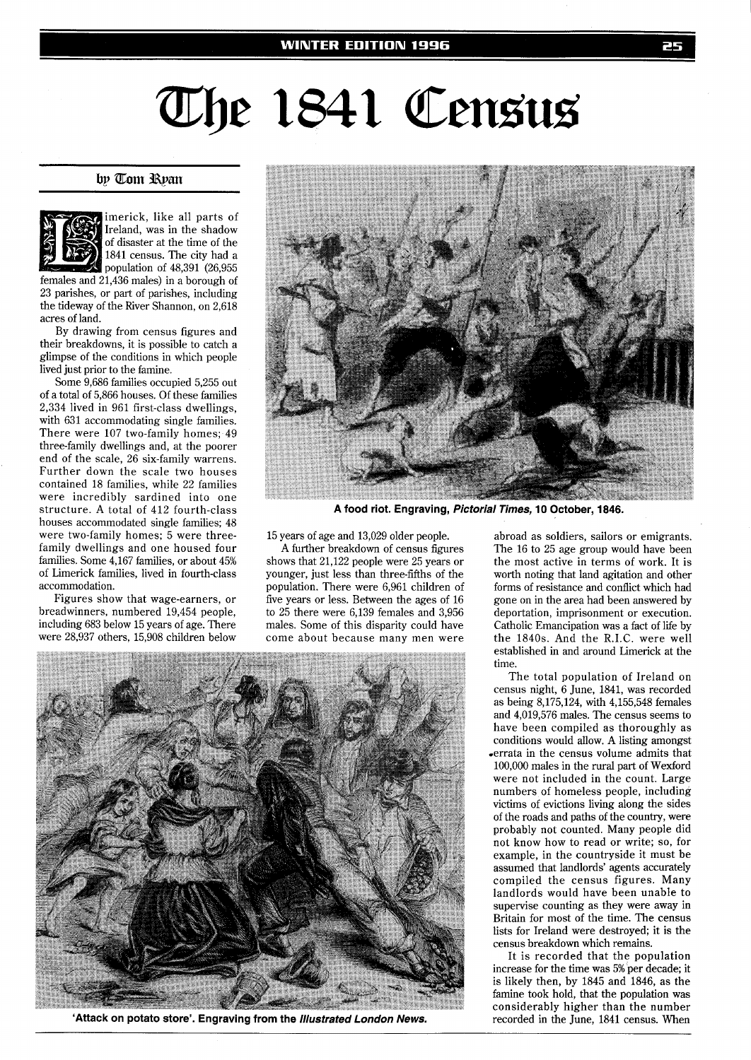## The 1841 Census

## by Tom Ryan



imerick, like all parts of Ireland, was in the shadow of disaster at the time of the 1841 census. The city had a population of 48,391 (26,955

females and 21,436 males) in a borough of 23 parishes, or part of parishes, including the tideway of the River Shannon, on 2,618 acres of land.

By drawing from census figures and their breakdowns, it is possible to catch a glimpse of the conditions in which people lived just prior to the famine.

Some 9,686 families occupied 5,255 out of a total of 5,866 houses. Of these families 2,334 lived in 961 first-class dwellings, with 631 accommodating single families. There were 107 two-family homes; 49 three-family dwellings and, at the poorer end of the scale, 26 six-family warrens. Further down the scale two houses contained 18 families, while 22 families were incredibly sardined into one structure. A total of 412 fourth-class houses accommodated single families; 48 were two-family homes; 5 were threefamily dwellings and one housed four families. Some 4,167 families, or about 45% of Limerick families, lived in fourth-class accommodation.

Figures show that wage-earners, or breadwinners, numbered 19,454 people, including 683 below 15 years of age. There were 28,937 others, 15,908 children below



**A food riot. Engraving, Pictorial Times, 10 October, 1846.** 

15 years of age and 13,029 older people.

A further breakdown of census figures shows that 21,122 people were 25 years or younger, just less than three-fifths of the population. There were 6,961 children of five years or less. Between the ages of 16 to 25 there were 6,139 females and 3,956 males. Some of this disparity could have come about because many men were



**'Attack on potato store'. Engraving from the Illustrated London News.** 

abroad as soldiers, sailors or emigrants. The 16 to 25 age group would have been the most active in terms of work. It is worth noting that land agitation and other forms of resistance and conflict which had gone on in the area had been answered by deportation, imprisonment or execution. Catholic Emancipation was a fact of life by the 1840s. And the R.I.C. were well established in and around Limerick at the time.

The total population of Ireland on census night, 6 June, 1841, was recorded as being 8,175,124, with 4,155,548 females and 4,019,576 males. The census seems to have been compiled as thoroughly as conditions would allow. A listing amongst .errata in the census volume admits that 100,000 males in the rural part of Wexford were not included in the count. Large numbers of homeless people, including victims of evictions living along the sides of the roads and paths of the country, were probably not counted. Many people did not know how to read or write; so, for example, in the countryside it must be assumed that landlords' agents accurately compiled the census figures. Many landlords would have been unable to supervise counting as they were away in Britain for most of the time. The census lists for Ireland were destroyed; it is the census breakdown which remains.

It is recorded that the population increase for the time was 5% per decade; it is likely then, by 1845 and 1846, as the famine took hold, that the population was considerably higher than the number recorded in the June, 1841 census. When